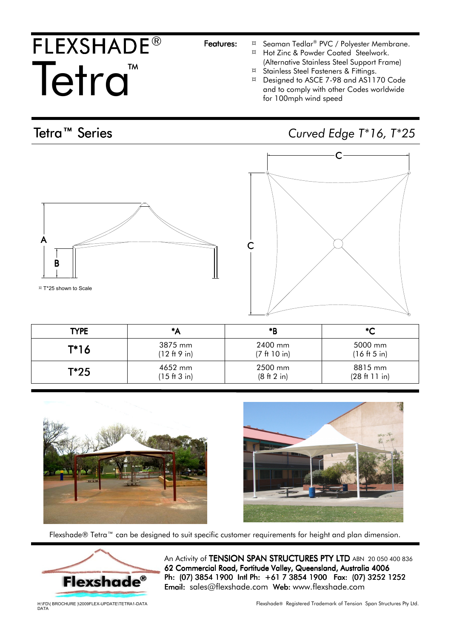## FLEXSHADE® Tetra<sup>TM</sup>

- Features:  $\frac{a}{x}$  Seaman Tedlar® PVC / Polyester Membrane.
	- ¤ Hot Zinc & Powder Coated Steelwork. (Alternative Stainless Steel Support Frame)
	- ¤ Stainless Steel Fasteners & Fittings.
	- ¤ Designed to ASCE 7-98 and AS1170 Code and to comply with other Codes worldwide for 100mph wind speed

Tetra™ Series Curved Edge T\*16, T\*25

 $\mathsf{C}^1$ 









Flexshade® Tetra™ can be designed to suit specific customer requirements for height and plan dimension.



An Activity of TENSION SPAN STRUCTURES PTY LTD ABN 20 050 400 836 62 Commercial Road, Fortitude Valley, Queensland, Australia 4006 Ph: (07) 3854 1900 Intl Ph: +61 7 3854 1900 Fax: (07) 3252 1252 Email: sales@flexshade.com Web: www.flexshade.com

H:\FD\( BROCHURE )\2009FLEX-UPDATE\TETRA1-DATA DATA